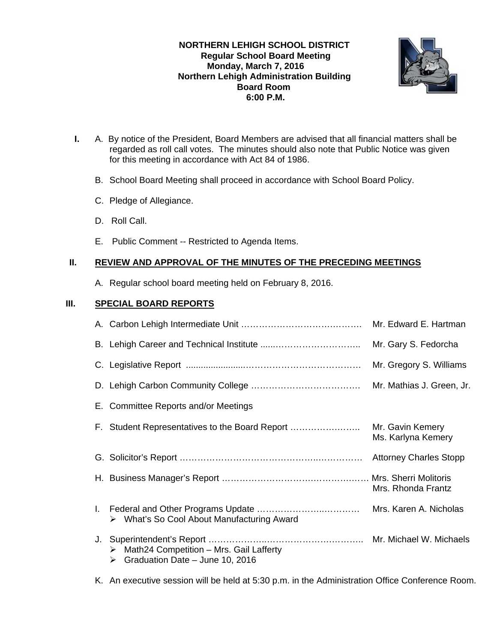## **NORTHERN LEHIGH SCHOOL DISTRICT Regular School Board Meeting Monday, March 7, 2016 Northern Lehigh Administration Building Board Room 6:00 P.M.**



- **I.** A. By notice of the President, Board Members are advised that all financial matters shall be regarded as roll call votes. The minutes should also note that Public Notice was given for this meeting in accordance with Act 84 of 1986.
	- B. School Board Meeting shall proceed in accordance with School Board Policy.
	- C. Pledge of Allegiance.
	- D. Roll Call.
	- E. Public Comment -- Restricted to Agenda Items.

# **II. REVIEW AND APPROVAL OF THE MINUTES OF THE PRECEDING MEETINGS**

A. Regular school board meeting held on February 8, 2016.

# **III. SPECIAL BOARD REPORTS**

|    |                                                | Mr. Edward E. Hartman                  |
|----|------------------------------------------------|----------------------------------------|
|    |                                                | Mr. Gary S. Fedorcha                   |
|    |                                                | Mr. Gregory S. Williams                |
|    |                                                | Mr. Mathias J. Green, Jr.              |
|    | E. Committee Reports and/or Meetings           |                                        |
|    | F. Student Representatives to the Board Report | Mr. Gavin Kemery<br>Ms. Karlyna Kemery |
|    |                                                | <b>Attorney Charles Stopp</b>          |
|    |                                                | Mrs. Rhonda Frantz                     |
| L. | ▶ What's So Cool About Manufacturing Award     | Mrs. Karen A. Nicholas                 |
| J. |                                                |                                        |

K. An executive session will be held at 5:30 p.m. in the Administration Office Conference Room.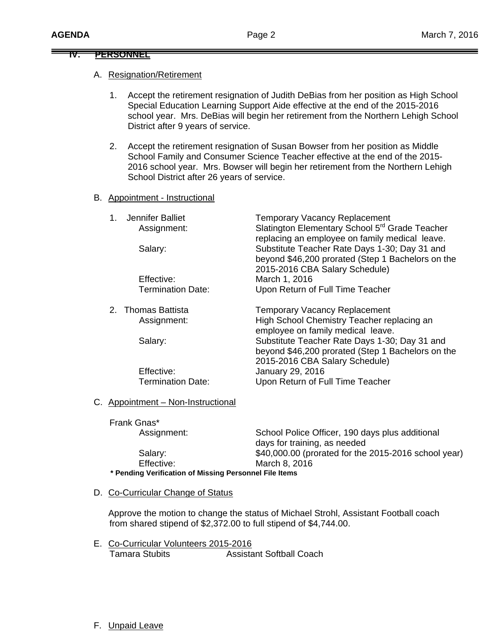## **IV. PERSONNEL**

#### A. Resignation/Retirement

- 1. Accept the retirement resignation of Judith DeBias from her position as High School Special Education Learning Support Aide effective at the end of the 2015-2016 school year. Mrs. DeBias will begin her retirement from the Northern Lehigh School District after 9 years of service.
- 2. Accept the retirement resignation of Susan Bowser from her position as Middle School Family and Consumer Science Teacher effective at the end of the 2015- 2016 school year. Mrs. Bowser will begin her retirement from the Northern Lehigh School District after 26 years of service.

#### B. Appointment - Instructional

| Jennifer Balliet<br>Assignment: | <b>Temporary Vacancy Replacement</b><br>Slatington Elementary School 5 <sup>rd</sup> Grade Teacher<br>replacing an employee on family medical leave. |
|---------------------------------|------------------------------------------------------------------------------------------------------------------------------------------------------|
| Salary:                         | Substitute Teacher Rate Days 1-30; Day 31 and<br>beyond \$46,200 prorated (Step 1 Bachelors on the<br>2015-2016 CBA Salary Schedule)                 |
| Effective:                      | March 1, 2016                                                                                                                                        |
|                                 |                                                                                                                                                      |
| <b>Termination Date:</b>        | Upon Return of Full Time Teacher                                                                                                                     |
| 2. Thomas Battista              | <b>Temporary Vacancy Replacement</b>                                                                                                                 |
| Assignment:                     | High School Chemistry Teacher replacing an<br>employee on family medical leave.                                                                      |
| Salary:                         | Substitute Teacher Rate Days 1-30; Day 31 and<br>beyond \$46,200 prorated (Step 1 Bachelors on the<br>2015-2016 CBA Salary Schedule)                 |
| Effective:                      | January 29, 2016                                                                                                                                     |
| Termination Date:               | Upon Return of Full Time Teacher                                                                                                                     |
| Appointment - Non-Instructional |                                                                                                                                                      |

Frank Gnas\*

Effective: March 8, 2016

 Assignment: School Police Officer, 190 days plus additional days for training, as needed Salary:  $$40,000.00$  (prorated for the 2015-2016 school year)

 **\* Pending Verification of Missing Personnel File Items**

#### D. Co-Curricular Change of Status

Approve the motion to change the status of Michael Strohl, Assistant Football coach from shared stipend of \$2,372.00 to full stipend of \$4,744.00.

E. Co-Curricular Volunteers 2015-2016 **Tamara Stubits Assistant Softball Coach** 

F. Unpaid Leave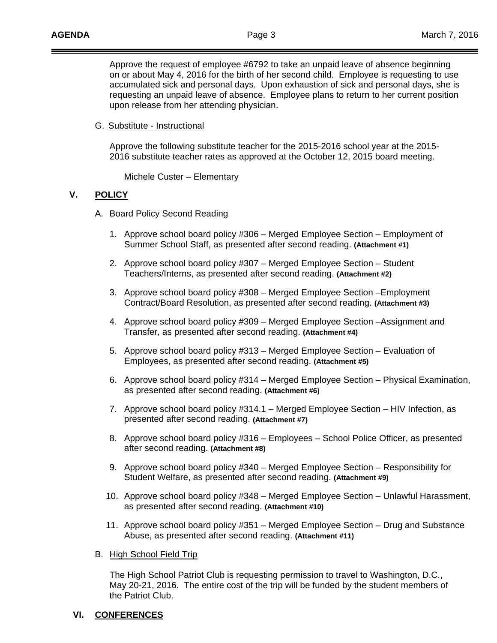Approve the request of employee #6792 to take an unpaid leave of absence beginning on or about May 4, 2016 for the birth of her second child. Employee is requesting to use accumulated sick and personal days. Upon exhaustion of sick and personal days, she is requesting an unpaid leave of absence. Employee plans to return to her current position upon release from her attending physician.

#### G. Substitute - Instructional

Approve the following substitute teacher for the 2015-2016 school year at the 2015- 2016 substitute teacher rates as approved at the October 12, 2015 board meeting.

Michele Custer – Elementary

#### **V. POLICY**

#### A. Board Policy Second Reading

- 1. Approve school board policy #306 Merged Employee Section Employment of Summer School Staff, as presented after second reading. **(Attachment #1)**
- 2. Approve school board policy #307 Merged Employee Section Student Teachers/Interns, as presented after second reading. **(Attachment #2)**
- 3. Approve school board policy #308 Merged Employee Section –Employment Contract/Board Resolution, as presented after second reading. **(Attachment #3)**
- 4. Approve school board policy #309 Merged Employee Section –Assignment and Transfer, as presented after second reading. **(Attachment #4)**
- 5. Approve school board policy #313 Merged Employee Section Evaluation of Employees, as presented after second reading. **(Attachment #5)**
- 6. Approve school board policy #314 Merged Employee Section Physical Examination, as presented after second reading. **(Attachment #6)**
- 7. Approve school board policy #314.1 Merged Employee Section HIV Infection, as presented after second reading. **(Attachment #7)**
- 8. Approve school board policy #316 Employees School Police Officer, as presented after second reading. **(Attachment #8)**
- 9. Approve school board policy #340 Merged Employee Section Responsibility for Student Welfare, as presented after second reading. **(Attachment #9)**
- 10. Approve school board policy #348 Merged Employee Section Unlawful Harassment, as presented after second reading. **(Attachment #10)**
- 11. Approve school board policy #351 Merged Employee Section Drug and Substance Abuse, as presented after second reading. **(Attachment #11)**

#### B. High School Field Trip

The High School Patriot Club is requesting permission to travel to Washington, D.C., May 20-21, 2016. The entire cost of the trip will be funded by the student members of the Patriot Club.

## **VI. CONFERENCES**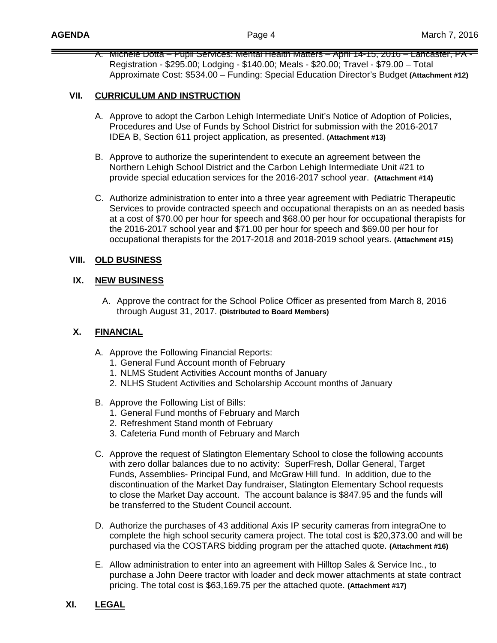A. Michele Dotta – Pupil Services: Mental Health Matters – April 14-15, 2016 – Lancaster, PA - Registration - \$295.00; Lodging - \$140.00; Meals - \$20.00; Travel - \$79.00 – Total Approximate Cost: \$534.00 – Funding: Special Education Director's Budget **(Attachment #12)** 

## **VII. CURRICULUM AND INSTRUCTION**

- A. Approve to adopt the Carbon Lehigh Intermediate Unit's Notice of Adoption of Policies, Procedures and Use of Funds by School District for submission with the 2016-2017 IDEA B, Section 611 project application, as presented. **(Attachment #13)**
- B. Approve to authorize the superintendent to execute an agreement between the Northern Lehigh School District and the Carbon Lehigh Intermediate Unit #21 to provide special education services for the 2016-2017 school year. **(Attachment #14)**
- C. Authorize administration to enter into a three year agreement with Pediatric Therapeutic Services to provide contracted speech and occupational therapists on an as needed basis at a cost of \$70.00 per hour for speech and \$68.00 per hour for occupational therapists for the 2016-2017 school year and \$71.00 per hour for speech and \$69.00 per hour for occupational therapists for the 2017-2018 and 2018-2019 school years. **(Attachment #15)**

## **VIII. OLD BUSINESS**

## **IX. NEW BUSINESS**

A. Approve the contract for the School Police Officer as presented from March 8, 2016 through August 31, 2017. **(Distributed to Board Members)**

# **X. FINANCIAL**

- A. Approve the Following Financial Reports:
	- 1. General Fund Account month of February
	- 1. NLMS Student Activities Account months of January
	- 2. NLHS Student Activities and Scholarship Account months of January
- B. Approve the Following List of Bills:
	- 1. General Fund months of February and March
	- 2. Refreshment Stand month of February
	- 3. Cafeteria Fund month of February and March
- C. Approve the request of Slatington Elementary School to close the following accounts with zero dollar balances due to no activity: SuperFresh, Dollar General, Target Funds, Assemblies- Principal Fund, and McGraw Hill fund. In addition, due to the discontinuation of the Market Day fundraiser, Slatington Elementary School requests to close the Market Day account. The account balance is \$847.95 and the funds will be transferred to the Student Council account.
- D. Authorize the purchases of 43 additional Axis IP security cameras from integraOne to complete the high school security camera project. The total cost is \$20,373.00 and will be purchased via the COSTARS bidding program per the attached quote. **(Attachment #16)**
- E. Allow administration to enter into an agreement with Hilltop Sales & Service Inc., to purchase a John Deere tractor with loader and deck mower attachments at state contract pricing. The total cost is \$63,169.75 per the attached quote. **(Attachment #17)**
- **XI. LEGAL**